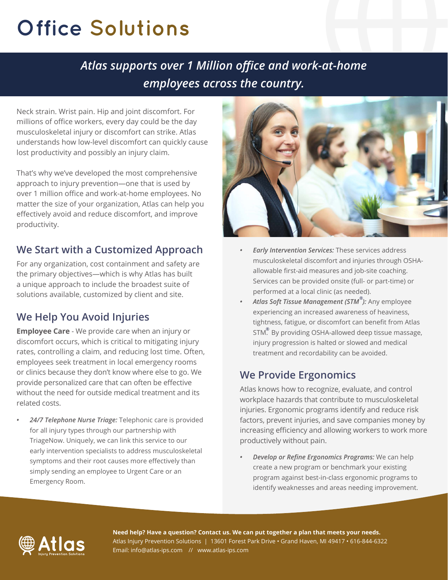# **Office Solutions**

# *Atlas supports over 1 Million office and work-at-home employees across the country.*

Neck strain. Wrist pain. Hip and joint discomfort. For millions of office workers, every day could be the day musculoskeletal injury or discomfort can strike. Atlas understands how low-level discomfort can quickly cause lost productivity and possibly an injury claim.

That's why we've developed the most comprehensive approach to injury prevention—one that is used by over 1 million office and work-at-home employees. No matter the size of your organization, Atlas can help you effectively avoid and reduce discomfort, and improve productivity.

### **We Start with a Customized Approach**

For any organization, cost containment and safety are the primary objectives—which is why Atlas has built a unique approach to include the broadest suite of solutions available, customized by client and site.

### **We Help You Avoid Injuries**

**Employee Care** - We provide care when an injury or discomfort occurs, which is critical to mitigating injury rates, controlling a claim, and reducing lost time. Often, employees seek treatment in local emergency rooms or clinics because they don't know where else to go. We provide personalized care that can often be effective without the need for outside medical treatment and its related costs.

*• 24/7 Telephone Nurse Triage:* Telephonic care is provided for all injury types through our partnership with TriageNow. Uniquely, we can link this service to our early intervention specialists to address musculoskeletal symptoms and their root causes more effectively than simply sending an employee to Urgent Care or an Emergency Room.



- *• Early Intervention Services:* These services address musculoskeletal discomfort and injuries through OSHAallowable first-aid measures and job-site coaching. Services can be provided onsite (full- or part-time) or performed at a local clinic (as needed).
- *• Atlas Soft Tissue Management (STM ):* Any employee **®** experiencing an increased awareness of heaviness, tightness, fatigue, or discomfort can benefit from Atlas STM. By providing OSHA-allowed deep tissue massage, **®**injury progression is halted or slowed and medical treatment and recordability can be avoided.

#### **We Provide Ergonomics**

Atlas knows how to recognize, evaluate, and control workplace hazards that contribute to musculoskeletal injuries. Ergonomic programs identify and reduce risk factors, prevent injuries, and save companies money by increasing efficiency and allowing workers to work more productively without pain.

*• Develop or Refine Ergonomics Programs:* We can help create a new program or benchmark your existing program against best-in-class ergonomic programs to identify weaknesses and areas needing improvement.



**Need help? Have a question? Contact us. We can put together a plan that meets your needs.** Atlas Injury Prevention Solutions | 13601 Forest Park Drive • Grand Haven, MI 49417 • 616-844-6322 Email: info@atlas-ips.com // www.atlas-ips.com